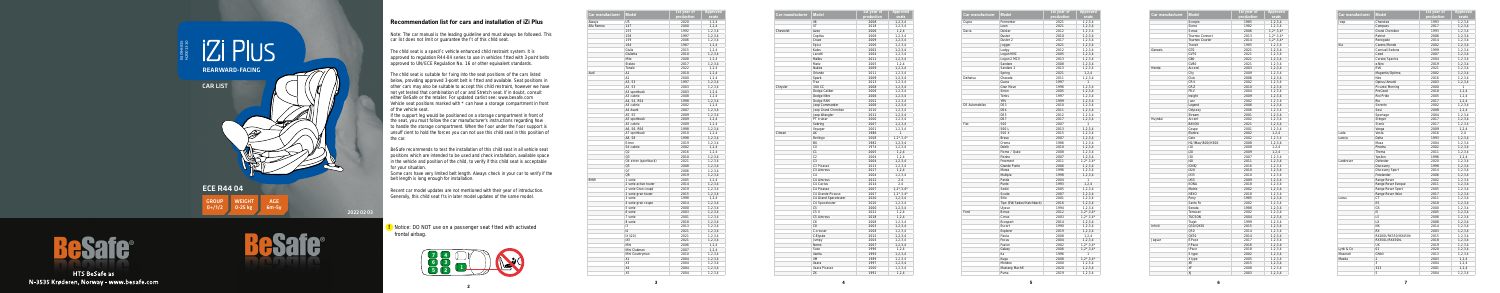**5**

## **IZI PIUS** REARWARD-FACING CAR LIST Þ ECE R44 04 GROUP WEIGHT AGE 0+/1/2 0-25 kg 6m-5y 2022 02 03

**2**

Note: The car manual is the leading guideline and must always be followed. This car list does not limit or guarantee the t of this child seat.

## **Recommendation list for cars and installation of iZi Plus**

The child seat is a speci c vehicle enhanced child restraint system. It is approved to regulation R44-04 series to use in vehicles tted with 3-point belts approved to UN/ECE Regulation No. 16 or other equivalent standards.

The child seat is suitable for xing into the seat positions of the cars listed below, providing approved 3-point belt is tted and available. Seat positions in other cars may also be suitable to accept this child restraint, however we have not yet tested that combination of car and Stretch seat. If in doubt, consult either BeSafe or the retailer. For updated carlist see: www.besafe.com Vehicle seat positions marked with \* can have a storage compartment in front of the vehicle seat.

Recent car model updates are not mentioned with their year of introduction. Generally, this child seat ts in later model updates of the same model.

**!** Notice: DO NOT use on a passenger seat thed with activated frontal airbag.

If the support leg would be positioned on a storage compartment in front of the seat, you must follow the car manufacturer's instructions regarding how to handle the storage compartment. When the oor under the oor support is unsuf cient to hold the forces you can not use this child seat in this position of the car.

BeSafe recommends to test the installation of this child seat in all vehicle seat positions which are intended to be used and check installation, available space in the vehicle and position of the child, to verify if this child seat is acceptable for your situation.

Some cars have very limited belt length. Always check in your car to verify if the belt length is long enough for installation.



| Car manufacturer | <b>Model</b>          | 1st year of<br>production | <b>Approved</b><br>seats |
|------------------|-----------------------|---------------------------|--------------------------|
| Aiways           | 115                   | 2020                      | 1, 2, 4                  |
| Alfa Romeo       | 147                   | 2000                      | 1, 2, 4                  |
|                  | 155                   | 1992                      | 1, 2, 3, 4               |
|                  | 156                   | 1997                      | 1, 2, 3, 4               |
|                  | 159                   | 2006                      | 1, 2, 3, 4               |
|                  | 164                   | 1987                      | 1,2,4                    |
|                  | Giulia                | 2015                      | 1, 2, 4                  |
|                  | Giulietta             | 2010                      | 1, 2, 3, 4               |
|                  | Mito                  | 2008                      | 1.2.4                    |
|                  | Stelvio               | 2017                      | 1.2.3.4                  |
|                  | Tonale                | 2022                      | 1, 2, 4                  |
| Audi             | A1                    | 2010                      | 1, 2, 4                  |
|                  | A <sub>2</sub>        | 2000                      | 1, 2, 4                  |
|                  | A3, S3                | 1997                      | 1, 2, 3, 4               |
|                  | A3, S3                | 2003                      | 1,2,3,4                  |
|                  | A3 sportback          | 2003                      | 1, 2, 4                  |
|                  | A3 cabrio             | 2008                      | 1, 2, 4                  |
|                  | A4, S4, RS4           | 1998                      | 1, 2, 3, 4               |
|                  | A4 cabrio             | 2002                      | 1, 2, 4                  |
|                  | A4 Avant              | 2007                      | 1, 2, 3, 4               |
|                  | A5, S5                | 2009                      | 1, 2, 3, 4               |
|                  | A5 sportback          | 2009                      | 1,2,4                    |
|                  | A5 cabrio             | 2009                      | 1, 2, 4                  |
|                  | A6, S6, RS6           | 1998                      | 1, 2, 3, 4               |
|                  | A7 sportback          | 2010                      | 1, 2, 4                  |
|                  | A8, S8                | 1998                      | 1, 2, 3, 4               |
|                  | E-tron                | 2019                      | 1, 2, 3, 4               |
|                  | S4 cabrio             | 2002                      | 1, 2, 4                  |
|                  | O2                    | 2016                      | 1, 2, 4                  |
|                  | Q <sub>3</sub>        | 2010                      | 1, 2, 3, 4               |
|                  | Q4 e-tron (sportback) | 2021                      | 1,2,3,4                  |
|                  | Q <sub>5</sub>        | 2008                      | 1, 2, 3, 4               |
|                  | 07                    | 2006                      | 1, 2, 3, 4               |
|                  | Q8                    | 2019                      | 1, 2, 3, 4               |
| <b>BMW</b>       | 1 serie               | 2005                      | 1, 2, 4                  |
|                  | 2 serie active tourer | 2014                      | 1, 2, 3, 4               |
|                  | 2 serie Gran coupé    | 2019                      | 1, 2, 3, 4               |
|                  | 2 serie gran tourer   | 2015                      | 1, 2, 3, 4               |
|                  | 3 serie               | 1998                      | 1,2,4                    |
|                  | 4 serie gran coupe    | 2014                      | 1, 2, 3, 4               |
|                  | 5 serie               | 2000                      | 1,2,3,4                  |
|                  | 6 serie               | 2003                      | 1, 2, 3, 4               |
|                  | 7 serie               | 2001                      | 1, 2, 3, 4               |
|                  | 8 serie               | 2018                      | 1, 2, 3, 4               |
|                  | i3                    | 2013                      | 1,2,3,4                  |
|                  | 4                     | 2021                      | 1, 2, 3, 4               |
|                  | iX (i20)              | 2021                      | 1, 2, 3, 4               |
|                  | iX3                   | 2021                      | 1, 2, 3, 4               |
|                  | Mini                  | 2006                      | 1, 2, 4                  |
|                  | Mini Clubman          | 2007                      | 1,2,4                    |
|                  | Mini Countryman       | 2010                      | 1, 2, 3, 4               |
|                  | X1                    | 2004                      | 1, 2, 3, 4               |
|                  | X <sub>3</sub>        | 2004                      | 1, 2, 3, 4               |
|                  | X <sub>4</sub>        | 2004                      | 1, 2, 3, 4               |
|                  | X5                    | 2004                      | 1, 2, 3, 4               |
|                  |                       |                           |                          |

| Car manufacturer | <b>Model</b>                  | 1st year of | <b>Approved</b>       |
|------------------|-------------------------------|-------------|-----------------------|
|                  |                               | production  | seats                 |
|                  | X6                            | 2008        | 1, 2, 3, 4            |
|                  | X7                            | 2018        | 1,2,3,4               |
| Chevrolet        | Aveo                          | 2006        | 1, 2, 4               |
|                  | Captiva                       | 2006        | 1,2,3,4               |
|                  | Cruze                         | 2009        | 1, 2, 3, 4            |
|                  | Epica                         | 2006        | 1,2,3,4               |
|                  | Kalos                         | 2002        | 1, 2, 3, 4            |
|                  | Lacetti                       | 2004        | 1,2,3,4               |
|                  | Malibu                        | 2011        | 1, 2, 3, 4            |
|                  | Matiz                         | 2005        | 1, 2, 4               |
|                  | Nubira                        | 2009        | 1, 2, 3, 4            |
|                  | Orlando                       | 2011        | 1, 2, 3, 4            |
|                  | Spark                         | 2009        | 1, 2, 3, 4            |
|                  | Trax                          | 2013        | 1,2,3,4               |
| Chrysler         | 300 CC                        | 2008        | 1, 2, 3, 4            |
|                  | Dodge Caliber                 | 2006        | 1, 2, 3, 4            |
|                  | Dodge Nitro                   | 2006        | 1, 2, 3, 4            |
|                  | Dodge RAM                     | 2002        | 1,2,3,4               |
|                  | Jeep Commander                | 2006        | 1, 2, 3, 4            |
|                  | Jeep Grand Cherokee           | 2010        | 1,2,3,4               |
|                  | Jeep Wrangler                 | 2011        | 1, 2, 3, 4            |
|                  | PT cruiser                    | 2000        | 1,2,3,4               |
|                  | Sebring                       | 2007        |                       |
|                  | Voyager                       | 2001        | 1,2,3,4<br>1, 2, 3, 4 |
| Citroen          | AX                            | 1986        | 1                     |
|                  | Berlingo                      | 2008        | $1, 2^*, 3, 4^*$      |
|                  | <b>BX</b>                     | 1982        |                       |
|                  | CX                            | 1974        | 1, 2, 3, 4            |
|                  | C <sub>1</sub>                | 2005        | 1,2,3,4               |
|                  | C <sub>2</sub>                |             | 1, 2, 4               |
|                  | C <sub>3</sub>                | 2004        | 1, 2, 4               |
|                  |                               | 2004        | 1, 2, 3, 4            |
|                  | C3 Picasso                    | 2013        | 1, 2, 3, 4            |
|                  | C3 Aircross<br>C <sub>4</sub> | 2017        | 1, 2, 4               |
|                  |                               | 2004        | 1,2,3,4               |
|                  | C4 Aircross                   | 2012        | 2.4                   |
|                  | C4 Cactus                     | 2014        | 2.4                   |
|                  | C4 Picasso                    | 2007        | $1,2^*,3,4^*$         |
|                  | C4 Grande Picasso             | 2007        | $1, 2^*, 3, 4^*$      |
|                  | C4 Grand Spacetourer          | 2020        | 1, 2, 3, 4            |
|                  | C4 Spacetourer                | 2020        | 1, 2, 3, 4            |
|                  | C <sub>5</sub>                | 2000        | 1, 2, 3, 4            |
|                  | C <sub>5</sub> X              | 2022        | 1,2,4                 |
|                  | C5 Aircross                   | 2018        | 1, 2, 4               |
|                  | C6                            | 2008        | 1,2,3,4               |
|                  | C <sub>8</sub>                | 2003        | 1, 2, 3, 4            |
|                  | C-crosser                     | 2008        | 1,2,3,4               |
|                  | C-Elysée                      | 2012        | 1, 2, 3, 4            |
|                  | Jumpy                         | 2004        | 1,2,3,4               |
|                  | Nemo                          | 2007        | 1, 2, 3, 4            |
|                  | Saxo                          | 1996        | 1,2,4                 |
|                  | Xantia                        | 1993        | 1, 2, 3, 4            |
|                  | XM                            | 1989        | 1,2,3,4               |
|                  | Xsara                         | 1997        | 1, 2, 3, 4            |
|                  | Xsara Picasso                 | 2000        | 1,2,3,4               |
|                  | ZX                            | 1991        | 1, 2, 4               |

| Car manufacturer      | <b>Model</b>              | 1st year of<br>production | <b>Approved</b><br>seats |
|-----------------------|---------------------------|---------------------------|--------------------------|
| Cupra                 | Formentor                 | 2021                      | 1, 2, 3, 4               |
|                       | Leon                      | 2021                      | 1, 2, 3, 4               |
| Dacia                 | Dokker                    | 2012                      | 1,2,3,4                  |
|                       | Duster                    | 2010                      | 1, 2, 3, 4               |
|                       | Duster <sub>2</sub>       | 2017                      | 1, 2, 3, 4               |
|                       | Jogger                    | 2021                      | 1, 2, 3, 4               |
|                       | Lodgy                     | 2012                      | 1, 2, 3, 4               |
|                       | Logan MVC                 | 2005                      | 1, 2, 3, 4               |
|                       | Logan 2 MCV               | 2013                      | 1, 2, 3, 4               |
|                       | Sandero                   | 2008                      | 1, 2, 3, 4               |
|                       | Sandero 2                 | 2013                      | 1, 2, 3, 4               |
|                       | Spring                    | 2021                      | 1, 2, 4                  |
| Daihatsu              | Charade                   | 2011                      | 1, 2, 3, 4               |
|                       | Cuora                     | 1997                      | 1                        |
|                       | Gran Move                 | 1996                      | 1, 2, 3, 4               |
|                       | Sirion                    | 2005                      | 1, 2, 3, 4               |
|                       | Terios                    | 1997                      | 1,2,3,4                  |
|                       | <b>YRV</b>                | 1999                      | 1, 2, 3, 4               |
| <b>DS Automobiles</b> | DS3                       | 2010                      |                          |
|                       | DS4                       |                           | 1, 2, 3, 4               |
|                       |                           | 2011                      | 1, 2, 3, 4               |
|                       | DS5                       | 2012                      | 1,2,3,4                  |
|                       | DS7                       | 2017                      | 1, 2, 3, 4               |
| Fiat                  | 500                       | 2007                      | 1                        |
|                       | 500 L                     | 2013                      | 1, 2, 3, 4               |
|                       | 500 X                     | 2015                      | 1, 2, 3, 4               |
|                       | Bravo                     | 2007                      | 1, 2, 3, 4               |
|                       | Croma                     | 1986                      | 1, 2, 3, 4               |
|                       | Doblò                     | 2010                      | 1, 2, 3, 4               |
|                       | Fiorno / Qubo             | 2008                      | 1,2,3,4                  |
|                       | Fiorino                   | 2007                      | 1, 2, 3, 4               |
|                       | Freemont                  | 2011                      | $1,2^*,3,4^*$            |
|                       | Grande Punto              | 2006                      | 1, 2, 3, 4               |
|                       | Marea                     | 1996                      | 1, 2, 3, 4               |
|                       | Multipla                  | 1998                      | 1, 2, 3, 4               |
|                       | Panda                     | 2004                      | 1                        |
|                       | Punto                     | 1993                      | 1, 2, 4                  |
|                       | Sedici                    | 2005                      | 1, 2, 3, 4               |
|                       | Scudo                     | 2007                      | 1, 2, 3, 4               |
|                       | Stilo                     | 2001                      | 1,2,3,4                  |
|                       | Tipo (SW/Sedan/Hatchback) | 2016                      | 1, 2, 3, 4               |
|                       | Ulysse                    | 1994                      | 1, 2, 3, 4               |
| Ford                  | B-max                     | 2012                      | $1,2^*,3,4^*$            |
|                       | C-max                     | 2003                      | $1, 2^*, 3, 4^*$         |
|                       | Ecosport                  | 2014                      | 1, 2, 3, 4               |
|                       | Escort                    | 1990                      | 1, 2, 3, 4               |
|                       | Explorer                  | 2019                      | 1, 2, 3, 4               |
|                       | Fiesta                    | 2008                      | 1, 2, 4                  |
|                       | Focus                     | 2004                      | 1, 2, 3, 4               |
|                       | Fusion                    | 2002                      | $1, 2^*, 3, 4^*$         |
|                       | Galaxy                    | 2006                      | $1, 2^*, 3, 4^*$         |
|                       | Ka                        | 1996                      | 1                        |
|                       | Kuqa                      | 2008                      | $1, 2^*, 3, 4^*$         |
|                       | Mondeo                    | 2000                      | 1, 2, 3, 4               |
|                       | Mustang Mach-E            | 2020                      | 1, 2, 3, 4               |
|                       | Puma                      | 2019                      | 1, 2, 3, 4               |
|                       |                           |                           |                          |

B109-8815 N2001310



**HTS BeSafe as** N-3535 Krøderen, Norway - www.besafe.com

| Car manufacturer | <b>Model</b>           | 1st year of<br>production | <b>Approve</b><br>seats  |
|------------------|------------------------|---------------------------|--------------------------|
|                  | Scorpio                | 1985                      | 1, 2, 3, 4               |
|                  | Sierra                 | 1982                      | 1, 2, 3, 4               |
|                  | S-max                  | 2006                      | $1, 2^*, 3, 4^*$         |
|                  | <b>Tourneo Connect</b> | 2013                      | $1, 2^*, 3, 4^*$         |
|                  | Tourneo Courier        | 2014                      | $1,2^*,3,4^*$            |
|                  | Transit                | 1985                      | 1, 2, 3, 4               |
| Genesis          | G70                    | 2021                      | 1, 2, 3, 4               |
|                  | <b>GV70</b>            | 2021                      | 1, 2, 3, 4               |
|                  | <b>G80</b>             | 2021                      | 1, 2, 3, 4               |
|                  | GV80                   | 2021                      | 1, 2, 3, 4               |
| Honda            | Accord                 | 2003                      | 1, 2, 3, 4               |
|                  | City                   | 2009                      | 1,2,3,4                  |
|                  | Civic                  | 2006                      | 1, 2, 3, 4               |
|                  | CR-V                   | 2002                      | 1, 2, 3, 4               |
|                  | CR-Z                   | 2010                      | 1, 2, 3, 4               |
|                  | FR-V                   | 2004                      | 1, 2, 3, 4               |
|                  | Insight                | 2009                      | 1, 2, 3, 4               |
|                  | Jazz                   | 2002                      | 1, 2, 3, 4               |
|                  | Legend                 | 2006                      |                          |
|                  |                        |                           | 1, 2, 3, 4               |
|                  | Odyssey<br>Stream      | 2006                      | 1, 2, 3, 4               |
|                  |                        | 2001                      | 1, 2, 3, 4               |
| Huyndai          | Accent                 | 2002                      | 1, 2, 3, 4               |
|                  | BAYON                  | 2021                      | 1, 2, 3, 4               |
|                  | Coupe                  | 2001                      | 1, 2, 3, 4               |
|                  | Elantra                | 2002                      | 1, 2, 4                  |
|                  | Getz                   | 2002                      | 1, 2, 3, 4               |
|                  | H1/iMax/i800/H300      | 2008                      | 1, 2, 3, 4               |
|                  | i10                    | 2008                      | 1, 2, 4                  |
|                  | i20                    | 2009                      | 1, 2, 4                  |
|                  | i30                    | 2007                      | 1,2,3,4                  |
|                  | i40                    | 2011                      | 1, 2, 3, 4               |
|                  | <b>IONIQ</b>           | 2016                      | 1, 2, 3, 4               |
|                  | iX20                   | 2010                      | 1, 2, 3, 4               |
|                  | iX35                   | 2010                      | 1, 2, 3, 4               |
|                  | iX55                   | 2009                      | 1, 2, 3, 4               |
|                  | <b>KONA</b>            | 2018                      | 1, 2, 3, 4               |
|                  | Matrix                 | 2002                      | 1, 2, 3, 4               |
|                  | <b>NEXO</b>            | 2018                      | 1, 2, 3, 4               |
|                  | Pony                   | 1985                      | 1, 2, 3, 4               |
|                  | Santa Fe               | 2002                      | 1, 2, 3, 4               |
|                  | Sonata                 | 1988                      | 1, 2, 3, 4               |
|                  | Terracan               | 2002                      | 1, 2, 3, 4               |
|                  | <b>TUCSON</b>          | 2004                      | 1, 2, 3, 4               |
|                  | Trajet                 | 1999                      | 1, 2, 3, 4               |
| In niti          | Q30/QX30               | 2015                      | 1, 2, 3, 4               |
|                  | Q50                    | 2014                      | 1, 2, 3, 4               |
|                  | QX70                   | 2014                      | 1, 2, 3, 4               |
| Jaguar           | E-Pace                 | 2017                      | 1, 2, 3, 4               |
|                  | F-Pace                 | 2016                      | 1, 2, 3, 4               |
|                  | I-Pace                 | 2018                      | 1, 2, 3, 4               |
|                  | S type                 | 2002                      | 1, 2, 3, 4               |
|                  |                        |                           |                          |
|                  |                        | 2005                      |                          |
|                  | X type<br>XE           | 2015                      | 1, 2, 3, 4               |
|                  | XF                     | 2008                      | 1, 2, 3, 4<br>1, 2, 3, 4 |

| 1st year of  | Approved                 |
|--------------|--------------------------|
| production   | seats                    |
| 1985         | 1, 2, 3, 4               |
| 1982         | 1, 2, 3, 4               |
| 2006         | $1, 2*, 3, 4*$           |
| 2013         | $1, 2^*, 3, 4^*$         |
| 2014         | $1, 2*, 3, 4*$           |
| 1985         | 1, 2, 3, 4               |
| 2021         | 1, 2, 3, 4               |
| 2021         | 1, 2, 3, 4               |
| 2021         | 1, 2, 3, 4               |
| 2021         | 1, 2, 3, 4               |
| 2003         | 1, 2, 3, 4               |
| 2009         | 1, 2, 3, 4               |
| 2006         | 1, 2, 3, 4               |
| 2002         | 1, 2, 3, 4               |
| 2010         | 1, 2, 3, 4               |
| 2004         | 1, 2, 3, 4               |
| 2009         | 1, 2, 3, 4               |
| 2002         | 1, 2, 3, 4               |
| 2006         | 1, 2, 3, 4               |
| 2006         | 1, 2, 3, 4               |
| 2001         | 1, 2, 3, 4               |
| 2002         | 1, 2, 3, 4               |
| 2021         | 1, 2, 3, 4               |
| 2001         | 1, 2, 3, 4               |
| 2002         | 1, 2, 4                  |
| 2002         | 1, 2, 3, 4               |
| 2008         | 1, 2, 3, 4               |
| 2008         | 1, 2, 4                  |
| 2009         | 1, 2, 4                  |
| 2007         | 1, 2, 3, 4               |
| 2011         | 1, 2, 3, 4               |
| 2016         | 1, 2, 3, 4               |
| 2010         | 1, 2, 3, 4               |
| 2010         | 1, 2, 3, 4               |
| 2009         | 1, 2, 3, 4               |
| 2018         | 1, 2, 3, 4               |
| 2002         | 1, 2, 3, 4               |
| 2018         | 1, 2, 3, 4               |
| 1985         | 1, 2, 3, 4               |
| 2002         | 1, 2, 3, 4               |
| 1988         | 1, 2, 3, 4               |
| 2002         | 1, 2, 3, 4               |
| 2004         |                          |
|              | 1, 2, 3, 4<br>1, 2, 3, 4 |
| 1999<br>2015 | 1, 2, 3, 4               |
| 2014         |                          |
|              | 1, 2, 3, 4               |
| 2014         | 1, 2, 3, 4               |
| 2017         | 1, 2, 3, 4               |
| 2016         | 1, 2, 3, 4               |
| 2018         | 1, 2, 3, 4               |
| 2002         | 1, 2, 3, 4               |
| 2005         | 1, 2, 3, 4               |
| 2015         | 1, 2, 3, 4               |
| 2008         | 1, 2, 3, 4               |
| 2003         | 1, 2, 3, 4               |

| Car manufacturer | <b>Model</b>          | 1st year of | <b>Approved</b> |
|------------------|-----------------------|-------------|-----------------|
|                  |                       | production  | seats           |
| Jeep             | Cherokee              | 1993        | 1, 2, 3, 4      |
|                  | Compass               | 2017        | 1, 2, 3, 4      |
|                  | <b>Grand Cherokee</b> | 1993        | 1,2,3,4         |
|                  | Patriot               | 2006        | 1, 2, 3, 4      |
|                  | Renegade              | 2014        | 1,2,3,4         |
| Kia              | Carens/Rondo          | 2002        | 1, 2, 3, 4      |
|                  | Carnival/Sedona       | 1999        | 1,2,3,4         |
|                  | Ceed                  | 2007        | 1,2,3,4         |
|                  | Cerato/Spectra        | 2004        | 1,2,3,4         |
|                  | e-Niro                | 2019        | 1, 2, 3, 4      |
|                  | EV <sub>6</sub>       | 2021        | 1,2,3,4         |
|                  | Magentis/Optima       | 2002        | 1, 2, 3, 4      |
|                  | Niro                  | 2016        | 1,2,3,4         |
|                  | Opirus/Amanti         | 2003        | 1, 2, 3, 4      |
|                  | Picanto/Morning       | 2000        | $\mathbf{1}$    |
|                  | ProCeed               | 2018        | 1, 2, 4         |
|                  | Rio/Pride             | 2005        | 1, 2, 4         |
|                  | Rio                   | 2017        | 1, 2, 4         |
|                  | Sorento               | 2002        | 1,2,3,4         |
|                  | Soul                  | 2008        | 1, 2, 4         |
|                  | Sportage              | 2004        | 1, 2, 3, 4      |
|                  | Stinger               | 2017        | 1,2,3,4         |
|                  | Stonic                | 2017        | 1, 2, 3, 4      |
|                  | Venga                 | 2009        | 1, 2, 4         |
| Lada             | Vesta                 | 2016        | 2.4             |
| Lancia           | Delta                 | 1993        | 1, 2, 3, 4      |
|                  | Musa                  | 2004        | 1, 2, 3, 4      |
|                  | Phedra                | 2002        | 1, 2, 3, 4      |
|                  | Thema                 | 2011        | 1,2,3,4         |
|                  | Ypsilon               | 1996        | 1, 2, 4         |
| Landrover        | Defender              | 2020        | 1, 2, 3, 4      |
|                  | Discovery             | 1998        | 1, 2, 3, 4      |
|                  | Discovery Sport       | 2014        | 1,2,3,4         |
|                  | Freelander            | 2006        | 1, 2, 3, 4      |
|                  | Range Rover           | 2002        | 1, 2, 3, 4      |
|                  | Range Rover Evoque    | 2011        | 1, 2, 3, 4      |
|                  | Range Rover Sport     | 2005        | 1,2,3,4         |
|                  | Range Rover Velar     | 2017        | 1, 2, 3, 4      |
| Lexus            | <b>CT</b>             | 2011        | 1, 2, 3, 4      |
|                  | ES                    | 2018        | 1, 2, 3, 4      |
|                  | GS                    | 2000        | 1,2,3,4         |
|                  | IS.                   | 2005        | 1, 2, 3, 4      |
|                  | LS                    | 2006        | 1, 2, 3, 4      |
|                  | <b>LX</b>             | 2008        | 1, 2, 3, 4      |
|                  | <b>NX</b>             | 2014        | 1,2,3,4         |
|                  | <b>RX</b>             | 2003        | 1, 2, 3, 4      |
|                  | RX200t/RX350/RX450h   | 2015        | 1, 2, 3, 4      |
|                  | RX350L/RX450hL        | 2018        | 1, 2, 3, 4      |
|                  | <b>UX</b>             | 2019        | 1, 2, 3, 4      |
| Lynk & Co        | 01                    | 2020        | 1,2,3,4         |
| Maserati         | Ghibli                | 2013        | 1,2,3,4         |
| Mazda            | $\overline{2}$        | 2003        | 1, 2, 4         |
|                  | 3                     | 2004        | 1, 2, 4         |
|                  | 323                   | 2001        | 1, 2, 4         |
|                  | 5                     | 2004        | 1, 2, 3, 4      |